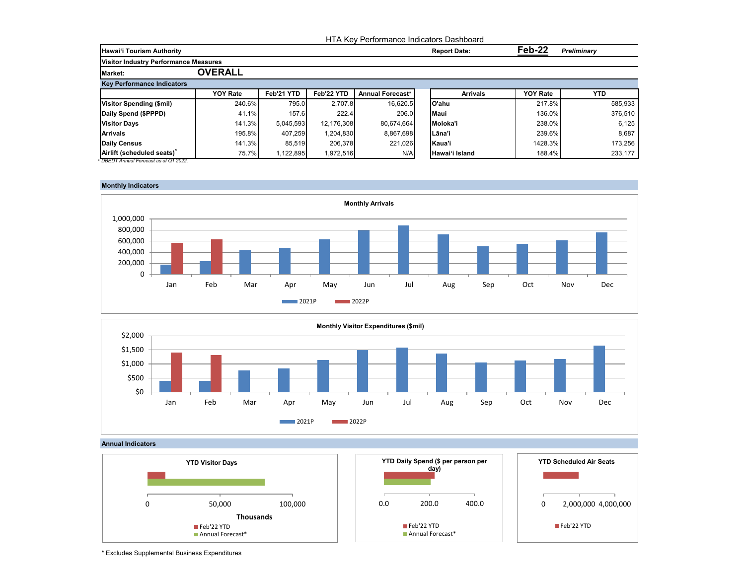|                                              |                 |            |            | HTA Key Performance Indicators Dashboard |                     |                 |                    |
|----------------------------------------------|-----------------|------------|------------|------------------------------------------|---------------------|-----------------|--------------------|
| <b>Hawai'i Tourism Authority</b>             |                 |            |            |                                          | <b>Report Date:</b> | Feb-22          | <b>Preliminary</b> |
| <b>Visitor Industry Performance Measures</b> |                 |            |            |                                          |                     |                 |                    |
| <b>Market:</b>                               | <b>OVERALL</b>  |            |            |                                          |                     |                 |                    |
| <b>Key Performance Indicators</b>            |                 |            |            |                                          |                     |                 |                    |
|                                              | <b>YOY Rate</b> | Feb'21 YTD | Feb'22 YTD | <b>Annual Forecast*</b>                  | <b>Arrivals</b>     | <b>YOY Rate</b> | <b>YTD</b>         |
| Visitor Spending (\$mil)                     | 240.6%          | 795.0      | 2.707.8    | 16,620.5                                 | O'ahu               | 217.8%          | 585,933            |
| Daily Spend (\$PPPD)                         | 41.1%           | 157.6      | 222.4      | 206.0                                    | <b>Maui</b>         | 136.0%          | 376,510            |
| <b>Visitor Days</b>                          | 141.3%          | 5.045.593  | 12,176,308 | 80,674,664                               | Moloka'i            | 238.0%          | 6,125              |
| <b>Arrivals</b>                              | 195.8%          | 407,259    | 1,204,830  | 8,867,698                                | ILāna'i             | 239.6%          | 8,687              |
| Daily Census                                 | 141.3%          | 85,519     | 206,378    | 221,026                                  | Kaua'i              | 1428.3%         | 173,256            |
| Airlift (scheduled seats)                    | 75.7%           | 1,122,895  | 1,972,516  | N/A                                      | Hawai'i Island      | 188.4%          | 233,177            |











<sup>\*</sup> Excludes Supplemental Business Expenditures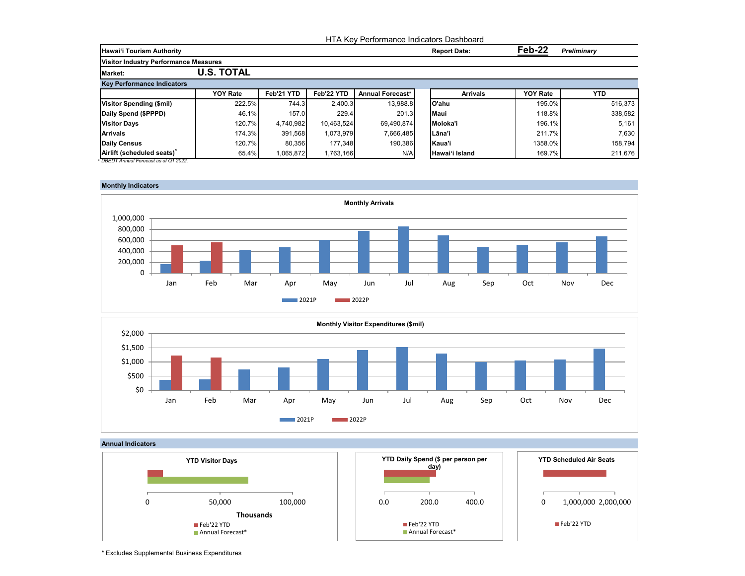|                                              |                   |            |            | HTA Key Performance Indicators Dashboard |                     |                 |                    |
|----------------------------------------------|-------------------|------------|------------|------------------------------------------|---------------------|-----------------|--------------------|
| <b>Hawai'i Tourism Authority</b>             |                   |            |            |                                          | <b>Report Date:</b> | Feb-22          | <b>Preliminary</b> |
| <b>Visitor Industry Performance Measures</b> |                   |            |            |                                          |                     |                 |                    |
| <b>Market:</b>                               | <b>U.S. TOTAL</b> |            |            |                                          |                     |                 |                    |
| <b>Key Performance Indicators</b>            |                   |            |            |                                          |                     |                 |                    |
|                                              | <b>YOY Rate</b>   | Feb'21 YTD | Feb'22 YTD | <b>Annual Forecast*</b>                  | <b>Arrivals</b>     | <b>YOY Rate</b> | <b>YTD</b>         |
| <b>Visitor Spending (\$mil)</b>              | 222.5%            | 744.3      | 2,400.3    | 13,988.8                                 | O'ahu               | 195.0%          | 516,373            |
| Daily Spend (\$PPPD)                         | 46.1%             | 157.0      | 229.4      | 201.3                                    | <b>Maui</b>         | 118.8%          | 338,582            |
| <b>Visitor Days</b>                          | 120.7%            | 4,740,982  | 10.463.524 | 69,490,874                               | Moloka'i            | 196.1%          | 5,161              |
| <b>Arrivals</b>                              | 174.3%            | 391,568    | 1,073,979  | 7,666,485                                | lLāna'i             | 211.7%          | 7,630              |
| <b>Daily Census</b>                          | 120.7%            | 80,356     | 177.348    | 190,386                                  | Kaua'i              | 1358.0%         | 158,794            |
| Airlift (scheduled seats)                    | 65.4%             | 1,065,872  | 1,763,166  | N/A                                      | Hawai'i Island      | 169.7%          | 211,676            |









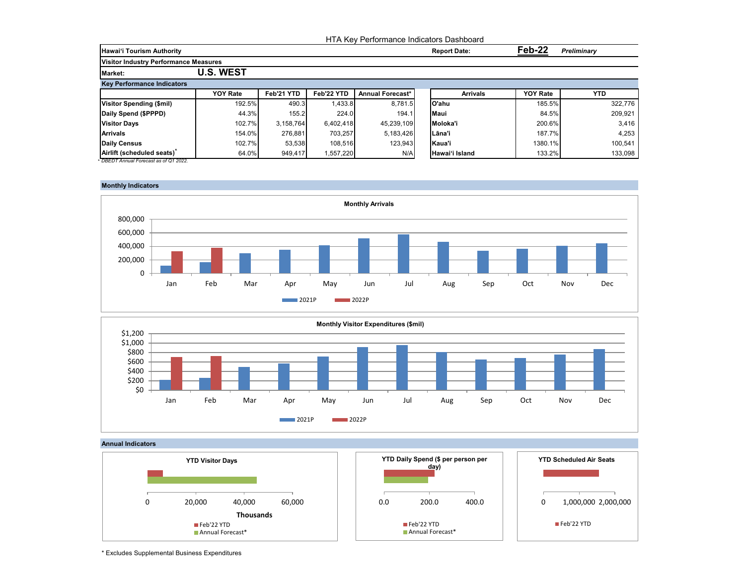|                                              |                  |            |            | HTA Key Performance Indicators Dashboard |             |                     |                              |            |  |
|----------------------------------------------|------------------|------------|------------|------------------------------------------|-------------|---------------------|------------------------------|------------|--|
| <b>Hawai'i Tourism Authority</b>             |                  |            |            |                                          |             | <b>Report Date:</b> | Feb-22<br><b>Preliminary</b> |            |  |
| <b>Visitor Industry Performance Measures</b> |                  |            |            |                                          |             |                     |                              |            |  |
| <b>Market:</b>                               | <b>U.S. WEST</b> |            |            |                                          |             |                     |                              |            |  |
| <b>Key Performance Indicators</b>            |                  |            |            |                                          |             |                     |                              |            |  |
|                                              | <b>YOY Rate</b>  | Feb'21 YTD | Feb'22 YTD | Annual Forecast*                         |             | <b>Arrivals</b>     | <b>YOY Rate</b>              | <b>YTD</b> |  |
| <b>Visitor Spending (\$mil)</b>              | 192.5%           | 490.3      | 1,433.8    | 8.781.5                                  | lO'ahu      |                     | 185.5%                       | 322,776    |  |
| Daily Spend (\$PPPD)                         | 44.3%            | 155.2      | 224.0      | 194.1                                    | <b>Maui</b> |                     | 84.5%                        | 209,921    |  |
| <b>Visitor Days</b>                          | 102.7%           | 3.158.764  | 6,402,418  | 45,239,109                               |             | Moloka'i            | 200.6%                       | 3,416      |  |
| <b>Arrivals</b>                              | 154.0%           | 276.881    | 703.257    | 5,183,426                                | lLāna'i     |                     | 187.7%                       | 4,253      |  |
| Daily Census                                 | 102.7%           | 53,538     | 108,516    | 123,943                                  | Kaua'i      |                     | 1380.1%                      | 100,541    |  |
| Airlift (scheduled seats)                    | 64.0%            | 949.417    | 1,557,220  | N/A                                      |             | Hawai'i Island      | 133.2%                       | 133,098    |  |









<sup>\*</sup> Excludes Supplemental Business Expenditures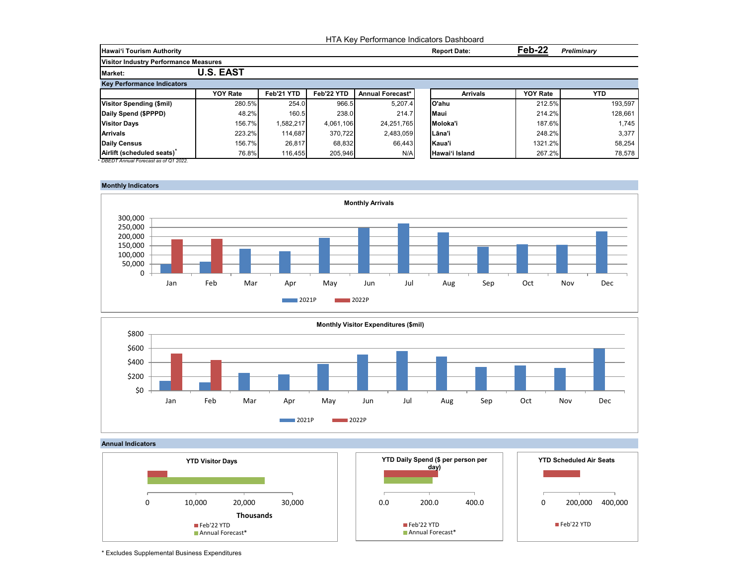|                                              |                  |            |            | HTA Key Performance Indicators Dashboard |                     |                 |                    |
|----------------------------------------------|------------------|------------|------------|------------------------------------------|---------------------|-----------------|--------------------|
| <b>Hawai'i Tourism Authority</b>             |                  |            |            |                                          | <b>Report Date:</b> | Feb-22          | <b>Preliminary</b> |
| <b>Visitor Industry Performance Measures</b> |                  |            |            |                                          |                     |                 |                    |
| <b>Market:</b>                               | <b>U.S. EAST</b> |            |            |                                          |                     |                 |                    |
| <b>Key Performance Indicators</b>            |                  |            |            |                                          |                     |                 |                    |
|                                              | <b>YOY Rate</b>  | Feb'21 YTD | Feb'22 YTD | <b>Annual Forecast*</b>                  | <b>Arrivals</b>     | <b>YOY Rate</b> | <b>YTD</b>         |
| <b>Visitor Spending (\$mil)</b>              | 280.5%           | 254.0      | 966.5      | 5.207.4                                  | O'ahu               | 212.5%          | 193.597            |
| Daily Spend (\$PPPD)                         | 48.2%            | 160.5      | 238.0      | 214.7                                    | <b>Maui</b>         | 214.2%          | 128,661            |
| <b>Visitor Days</b>                          | 156.7%           | 1.582.217  | 4.061.106  | 24,251,765                               | Moloka'i            | 187.6%          | 1,745              |
| <b>Arrivals</b>                              | 223.2%           | 114,687    | 370.722    | 2,483,059                                | lLāna'i             | 248.2%          | 3,377              |
| <b>Daily Census</b>                          | 156.7%           | 26,817     | 68,832     | 66,443                                   | Kaua'i              | 1321.2%         | 58,254             |
| Airlift (scheduled seats)                    | 76.8%            | 116,455    | 205,946    | N/A                                      | Hawai'i Island      | 267.2%          | 78,578             |

## **Monthly Indicators**







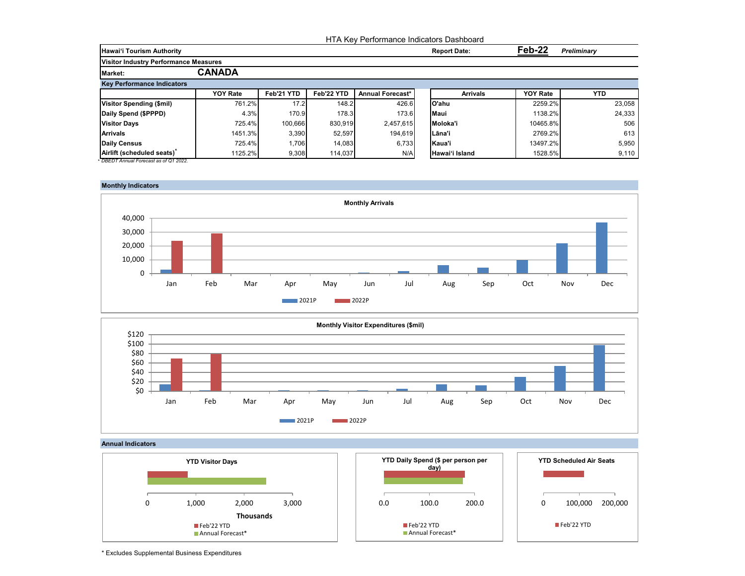|                                              |                 |            |            | HTA Key Performance Indicators Dashboard |                     |                 |                    |
|----------------------------------------------|-----------------|------------|------------|------------------------------------------|---------------------|-----------------|--------------------|
| <b>Hawai'i Tourism Authority</b>             |                 |            |            |                                          | <b>Report Date:</b> | Feb-22          | <b>Preliminary</b> |
| <b>Visitor Industry Performance Measures</b> |                 |            |            |                                          |                     |                 |                    |
| <b>Market:</b>                               | <b>CANADA</b>   |            |            |                                          |                     |                 |                    |
| <b>Key Performance Indicators</b>            |                 |            |            |                                          |                     |                 |                    |
|                                              | <b>YOY Rate</b> | Feb'21 YTD | Feb'22 YTD | <b>Annual Forecast*</b>                  | <b>Arrivals</b>     | <b>YOY Rate</b> | <b>YTD</b>         |
| Visitor Spending (\$mil)                     | 761.2%          | 17.2       | 148.2      | 426.6                                    | lO'ahu              | 2259.2%         | 23,058             |
| Daily Spend (\$PPPD)                         | 4.3%            | 170.9      | 178.3      | 173.6                                    | <b>Maui</b>         | 1138.2%         | 24,333             |
| <b>Visitor Days</b>                          | 725.4%          | 100,666    | 830,919    | 2,457,615                                | Moloka'i            | 10465.8%        | 506                |
| <b>Arrivals</b>                              | 1451.3%         | 3,390      | 52,597     | 194.619                                  | lLāna'i             | 2769.2%         | 613                |
| Daily Census                                 | 725.4%          | .706       | 14,083     | 6,733                                    | Kaua'i              | 13497.2%        | 5,950              |
| Airlift (scheduled seats)                    | 1125.2%         | 9,308      | 114,037    | N/A                                      | Hawai'i Island      | 1528.5%         | 9,110              |









\* Excludes Supplemental Business Expenditures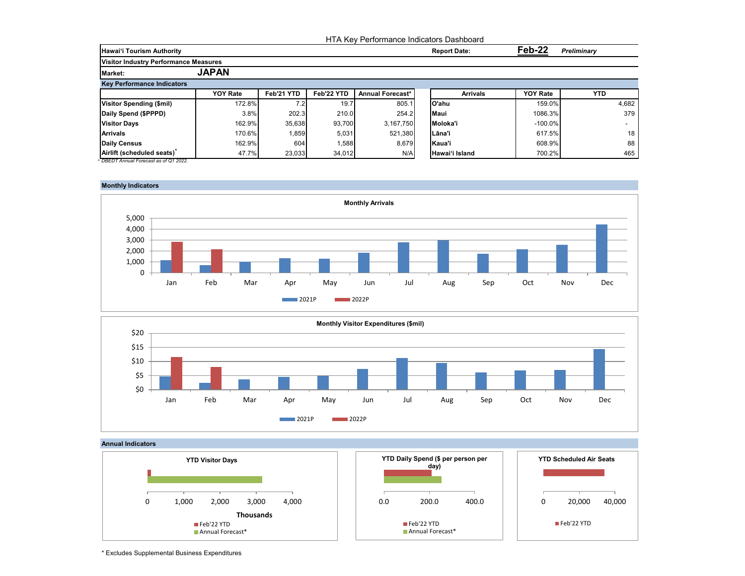|                                              |                 |            |            | HTA Key Performance Indicators Dashboard |             |                     |                 |                    |
|----------------------------------------------|-----------------|------------|------------|------------------------------------------|-------------|---------------------|-----------------|--------------------|
| <b>Hawai'i Tourism Authority</b>             |                 |            |            |                                          |             | <b>Report Date:</b> | Feb-22          | <b>Preliminary</b> |
| <b>Visitor Industry Performance Measures</b> |                 |            |            |                                          |             |                     |                 |                    |
| <b>Market:</b>                               | <b>JAPAN</b>    |            |            |                                          |             |                     |                 |                    |
| <b>Key Performance Indicators</b>            |                 |            |            |                                          |             |                     |                 |                    |
|                                              | <b>YOY Rate</b> | Feb'21 YTD | Feb'22 YTD | <b>Annual Forecast*</b>                  |             | <b>Arrivals</b>     | <b>YOY Rate</b> | <b>YTD</b>         |
| Visitor Spending (\$mil)                     | 172.8%          | 7.2        | 19.7       | 805.1                                    | O'ahu       |                     | 159.0%          | 4,682              |
| Daily Spend (\$PPPD)                         | 3.8%            | 202.3      | 210.0      | 254.2                                    | <b>Maui</b> |                     | 1086.3%         | 379                |
| <b>Visitor Days</b>                          | 162.9%          | 35,638     | 93.700     | 3.167.750                                | Moloka'i    |                     | $-100.0\%$      |                    |
| <b>Arrivals</b>                              | 170.6%          | .859       | 5,031      | 521,380                                  | Lāna'i      |                     | 617.5%          | 18                 |
| Daily Census                                 | 162.9%          | 604        | 1,588      | 8,679                                    | Kaua'i      |                     | 608.9%          | 88                 |
| Airlift (scheduled seats)                    | 47.7%           | 23,033     | 34,012     | N/A                                      |             | Hawai'i Island      | 700.2%          | 465                |









<sup>\*</sup> Excludes Supplemental Business Expenditures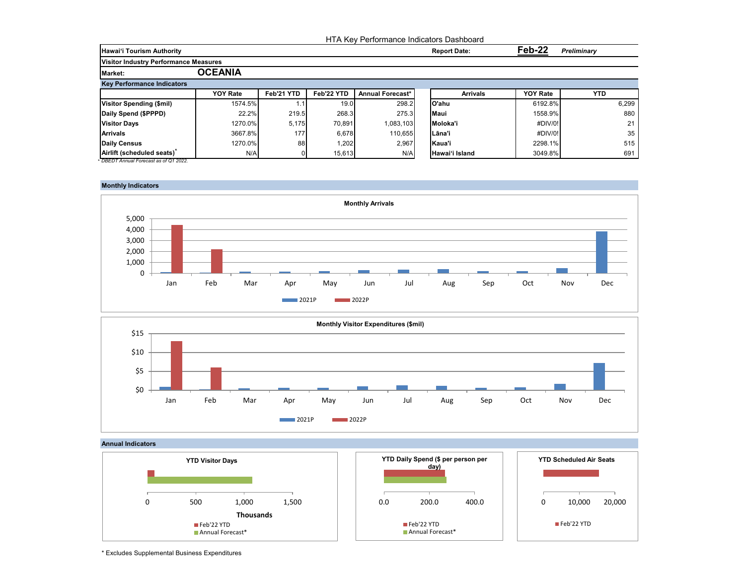|                                              |                 |            |                   |                         | <b>HTA Kev Performance Indicators Dashboard</b> |                              |            |
|----------------------------------------------|-----------------|------------|-------------------|-------------------------|-------------------------------------------------|------------------------------|------------|
| <b>Hawai'i Tourism Authority</b>             |                 |            |                   |                         | <b>Report Date:</b>                             | Feb-22<br><b>Preliminary</b> |            |
| <b>Visitor Industry Performance Measures</b> |                 |            |                   |                         |                                                 |                              |            |
| <b>Market:</b>                               | <b>OCEANIA</b>  |            |                   |                         |                                                 |                              |            |
| <b>Key Performance Indicators</b>            |                 |            |                   |                         |                                                 |                              |            |
|                                              | <b>YOY Rate</b> | Feb'21 YTD | Feb'22 YTD        | <b>Annual Forecast*</b> | <b>Arrivals</b>                                 | <b>YOY Rate</b>              | <b>YTD</b> |
| <b>Visitor Spending (\$mil)</b>              | 1574.5%         |            | 19.0 <sub>1</sub> | 298.2                   | lO'ahu                                          | 6192.8%                      | 6,299      |
| Daily Spend (\$PPPD)                         | 22.2%           | 219.5      | 268.3             | 275.3                   | <b>Maui</b>                                     | 1558.9%                      | 880        |
| <b>Visitor Days</b>                          | 1270.0%         | 5,175      | 70.891            | 1,083,103               | Moloka'i                                        | #DIV/0!                      | 21         |
| <b>Arrivals</b>                              | 3667.8%         | 177        | 6,678             | 110.655                 | ILāna'i                                         | #DIV/0!                      | 35         |
| Daily Census                                 | 1270.0%         | 88         | 1,202             | 2,967                   | Kaua'i                                          | 2298.1%                      | 515        |
| Airlift (scheduled seats)                    | N/A             | 01         | 15,613            | N/A                     | Hawai'i Island                                  | 3049.8%                      | 691        |









<sup>\*</sup> Excludes Supplemental Business Expenditures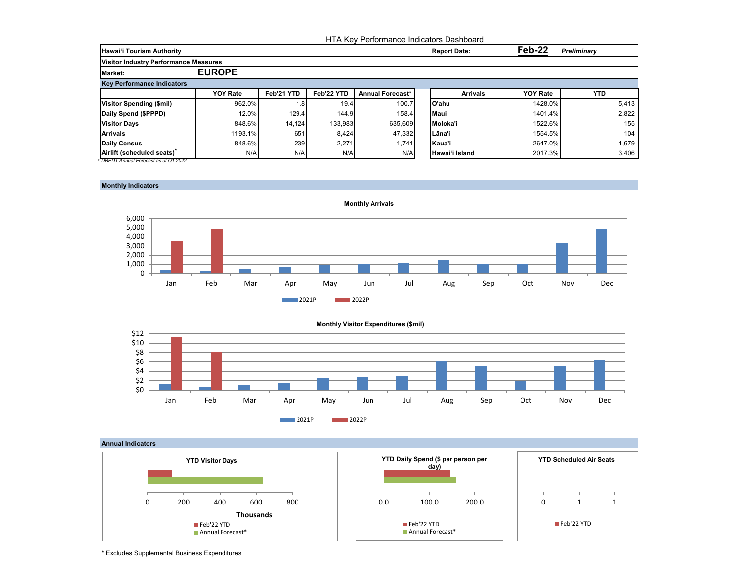|                                              |                 |            |            |                         | HTA Key Performance Indicators Dashboard |                              |            |  |
|----------------------------------------------|-----------------|------------|------------|-------------------------|------------------------------------------|------------------------------|------------|--|
| <b>Hawai'i Tourism Authority</b>             |                 |            |            |                         | <b>Report Date:</b>                      | Feb-22<br><b>Preliminary</b> |            |  |
| <b>Visitor Industry Performance Measures</b> |                 |            |            |                         |                                          |                              |            |  |
| <b>Market:</b>                               | <b>EUROPE</b>   |            |            |                         |                                          |                              |            |  |
| <b>Key Performance Indicators</b>            |                 |            |            |                         |                                          |                              |            |  |
|                                              | <b>YOY Rate</b> | Feb'21 YTD | Feb'22 YTD | <b>Annual Forecast*</b> | <b>Arrivals</b>                          | <b>YOY Rate</b>              | <b>YTD</b> |  |
| Visitor Spending (\$mil)                     | 962.0%          | 1.8        | 19.4       | 100.7                   | lO'ahu                                   | 1428.0%                      | 5,413      |  |
| Daily Spend (\$PPPD)                         | 12.0%           | 129.4      | 144.9      | 158.4                   | <b>Maui</b>                              | 1401.4%                      | 2,822      |  |
| <b>Visitor Days</b>                          | 848.6%          | 14.124     | 133,983    | 635.609                 | Moloka'i                                 | 1522.6%                      | 155        |  |
| <b>Arrivals</b>                              | 1193.1%         | 651        | 8,424      | 47,332                  | Lāna'i                                   | 1554.5%                      | 104        |  |
| Daily Census                                 | 848.6%          | 239        | 2,271      | 1,741                   | Kaua'i                                   | 2647.0%                      | 1,679      |  |
| Airlift (scheduled seats)                    | N/A             | N/A        | N/A        | N/A                     | Hawai'i Island                           | 2017.3%                      | 3,406      |  |

## **Monthly Indicators**







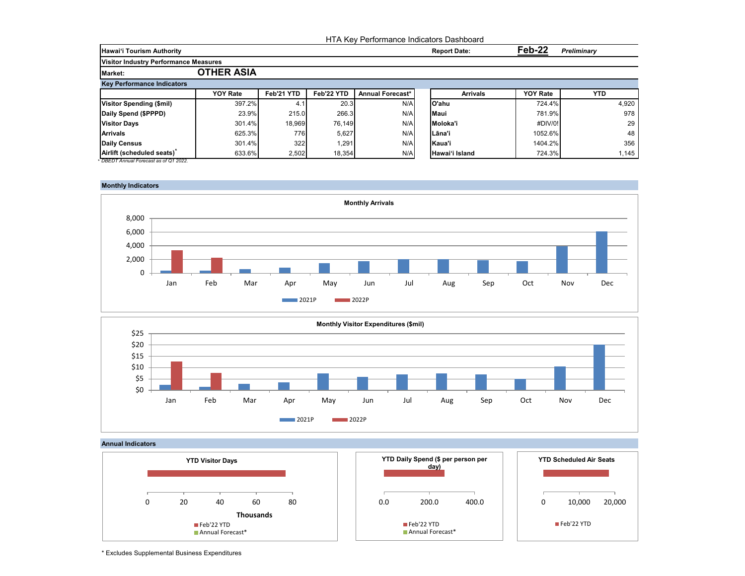|                                              |                   |            |            |                         | HTA Key Performance Indicators Dashboard |                 |                    |
|----------------------------------------------|-------------------|------------|------------|-------------------------|------------------------------------------|-----------------|--------------------|
| <b>Hawai'i Tourism Authority</b>             |                   |            |            |                         | <b>Report Date:</b>                      | Feb-22          | <b>Preliminary</b> |
| <b>Visitor Industry Performance Measures</b> |                   |            |            |                         |                                          |                 |                    |
| Market:                                      | <b>OTHER ASIA</b> |            |            |                         |                                          |                 |                    |
| <b>Key Performance Indicators</b>            |                   |            |            |                         |                                          |                 |                    |
|                                              | <b>YOY Rate</b>   | Feb'21 YTD | Feb'22 YTD | <b>Annual Forecast*</b> | <b>Arrivals</b>                          | <b>YOY Rate</b> | <b>YTD</b>         |
| <b>Visitor Spending (\$mil)</b>              | 397.2%            | 4.1        | 20.3       | N/A                     | lO'ahu                                   | 724.4%          | 4,920              |
| Daily Spend (\$PPPD)                         | 23.9%             | 215.0      | 266.3      | N/A                     | Maui                                     | 781.9%          | 978                |
| <b>Visitor Days</b>                          | 301.4%            | 18,969     | 76.149     | N/A                     | Moloka'i                                 | #DIV/0!         | 29                 |
| <b>Arrivals</b>                              | 625.3%            | 776I       | 5.627      | N/A                     | lLāna'i                                  | 1052.6%         | 48                 |
| Daily Census                                 | 301.4%            | 322        | 1,291      | N/A                     | lKaua'i                                  | 1404.2%         | 356                |
| Airlift (scheduled seats)                    | 633.6%            | 2,502      | 18,354     | N/A                     | Hawai'i Island                           | 724.3%          | 1.145              |

# **Monthly Indicators**







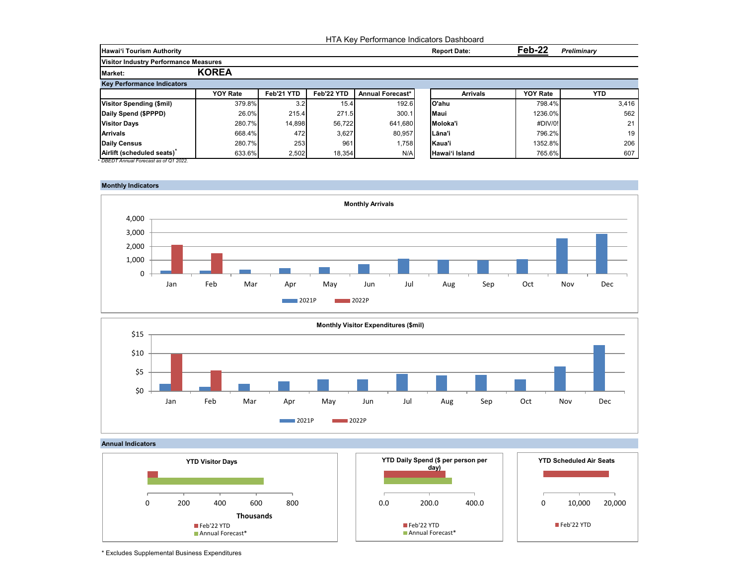|                                              |                 |            |            |                  | HTA Key Performance Indicators Dashboard |                 |                    |
|----------------------------------------------|-----------------|------------|------------|------------------|------------------------------------------|-----------------|--------------------|
| <b>Hawai'i Tourism Authority</b>             |                 |            |            |                  | <b>Report Date:</b>                      | Feb-22          | <b>Preliminary</b> |
| <b>Visitor Industry Performance Measures</b> |                 |            |            |                  |                                          |                 |                    |
| <b>Market:</b>                               | <b>KOREA</b>    |            |            |                  |                                          |                 |                    |
| <b>Key Performance Indicators</b>            |                 |            |            |                  |                                          |                 |                    |
|                                              | <b>YOY Rate</b> | Feb'21 YTD | Feb'22 YTD | Annual Forecast* | <b>Arrivals</b>                          | <b>YOY Rate</b> | <b>YTD</b>         |
| <b>Visitor Spending (\$mil)</b>              | 379.8%          | 3.2        | 15.4       | 192.6            | lO'ahu                                   | 798.4%          | 3,416              |
| Daily Spend (\$PPPD)                         | 26.0%           | 215.4      | 271.5      | 300.1            | <b>Maui</b>                              | 1236.0%         | 562                |
| <b>Visitor Days</b>                          | 280.7%          | 14,898     | 56.722     | 641.680          | Moloka'i                                 | #DIV/0!         | 21                 |
| <b>Arrivals</b>                              | 668.4%          | 472        | 3,627      | 80,957           | lLāna'i                                  | 796.2%          | 19                 |
| Daily Census                                 | 280.7%          | 253        | 961        | 1,758            | Kaua'i                                   | 1352.8%         | 206                |
| Airlift (scheduled seats)                    | 633.6%          | 2,502      | 18,354     | N/A              | Hawai'i Island                           | 765.6%          | 607                |









\* Excludes Supplemental Business Expenditures